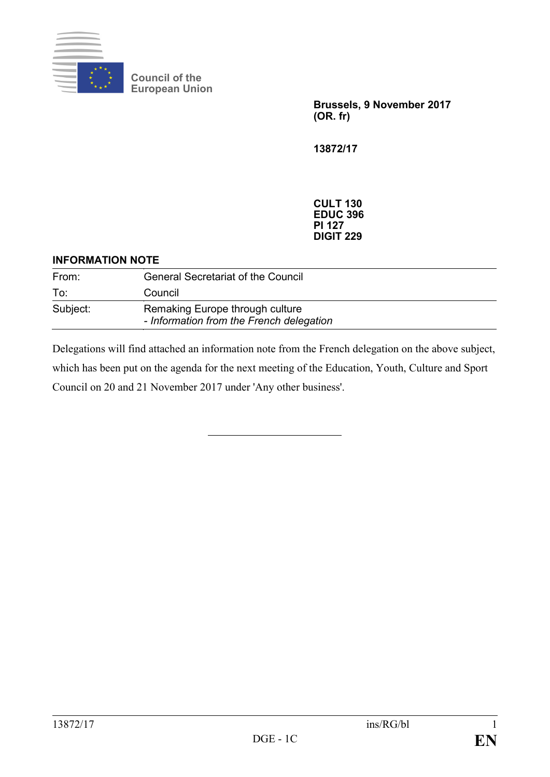

**Council of the European Union**

> **Brussels, 9 November 2017 (OR. fr)**

**13872/17**

**CULT 130 EDUC 396 PI 127 DIGIT 229**

## **INFORMATION NOTE**

| From:    | <b>General Secretariat of the Council</b>                                   |
|----------|-----------------------------------------------------------------------------|
| To:      | Council                                                                     |
| Subject: | Remaking Europe through culture<br>- Information from the French delegation |

Delegations will find attached an information note from the French delegation on the above subject, which has been put on the agenda for the next meeting of the Education, Youth, Culture and Sport Council on 20 and 21 November 2017 under 'Any other business'.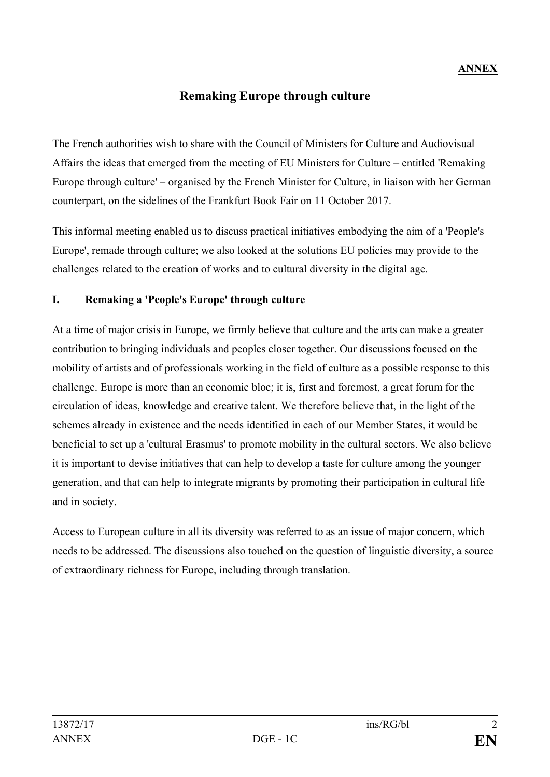## **Remaking Europe through culture**

The French authorities wish to share with the Council of Ministers for Culture and Audiovisual Affairs the ideas that emerged from the meeting of EU Ministers for Culture – entitled 'Remaking Europe through culture' – organised by the French Minister for Culture, in liaison with her German counterpart, on the sidelines of the Frankfurt Book Fair on 11 October 2017.

This informal meeting enabled us to discuss practical initiatives embodying the aim of a 'People's Europe', remade through culture; we also looked at the solutions EU policies may provide to the challenges related to the creation of works and to cultural diversity in the digital age.

## **I. Remaking a 'People's Europe' through culture**

At a time of major crisis in Europe, we firmly believe that culture and the arts can make a greater contribution to bringing individuals and peoples closer together. Our discussions focused on the mobility of artists and of professionals working in the field of culture as a possible response to this challenge. Europe is more than an economic bloc; it is, first and foremost, a great forum for the circulation of ideas, knowledge and creative talent. We therefore believe that, in the light of the schemes already in existence and the needs identified in each of our Member States, it would be beneficial to set up a 'cultural Erasmus' to promote mobility in the cultural sectors. We also believe it is important to devise initiatives that can help to develop a taste for culture among the younger generation, and that can help to integrate migrants by promoting their participation in cultural life and in society.

Access to European culture in all its diversity was referred to as an issue of major concern, which needs to be addressed. The discussions also touched on the question of linguistic diversity, a source of extraordinary richness for Europe, including through translation.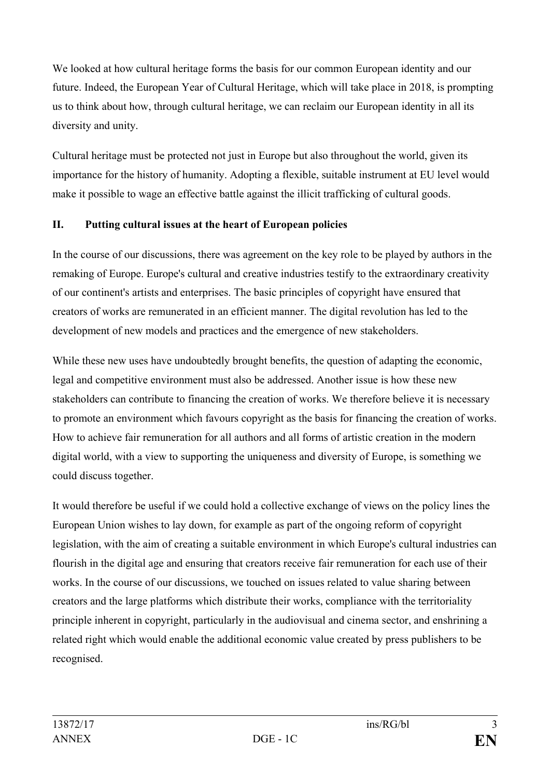We looked at how cultural heritage forms the basis for our common European identity and our future. Indeed, the European Year of Cultural Heritage, which will take place in 2018, is prompting us to think about how, through cultural heritage, we can reclaim our European identity in all its diversity and unity.

Cultural heritage must be protected not just in Europe but also throughout the world, given its importance for the history of humanity. Adopting a flexible, suitable instrument at EU level would make it possible to wage an effective battle against the illicit trafficking of cultural goods.

## **II. Putting cultural issues at the heart of European policies**

In the course of our discussions, there was agreement on the key role to be played by authors in the remaking of Europe. Europe's cultural and creative industries testify to the extraordinary creativity of our continent's artists and enterprises. The basic principles of copyright have ensured that creators of works are remunerated in an efficient manner. The digital revolution has led to the development of new models and practices and the emergence of new stakeholders.

While these new uses have undoubtedly brought benefits, the question of adapting the economic, legal and competitive environment must also be addressed. Another issue is how these new stakeholders can contribute to financing the creation of works. We therefore believe it is necessary to promote an environment which favours copyright as the basis for financing the creation of works. How to achieve fair remuneration for all authors and all forms of artistic creation in the modern digital world, with a view to supporting the uniqueness and diversity of Europe, is something we could discuss together.

It would therefore be useful if we could hold a collective exchange of views on the policy lines the European Union wishes to lay down, for example as part of the ongoing reform of copyright legislation, with the aim of creating a suitable environment in which Europe's cultural industries can flourish in the digital age and ensuring that creators receive fair remuneration for each use of their works. In the course of our discussions, we touched on issues related to value sharing between creators and the large platforms which distribute their works, compliance with the territoriality principle inherent in copyright, particularly in the audiovisual and cinema sector, and enshrining a related right which would enable the additional economic value created by press publishers to be recognised.